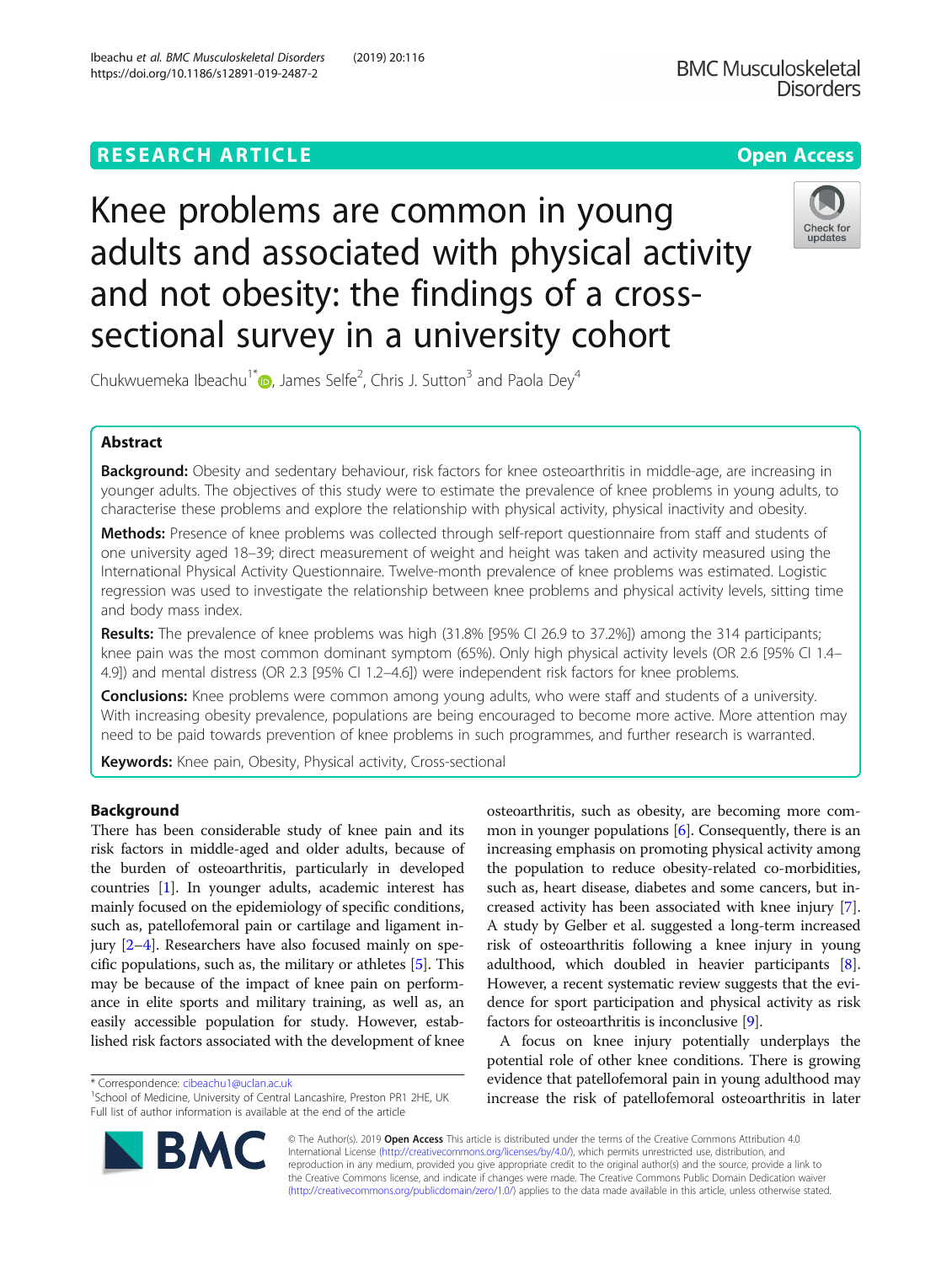

Chukwuemeka Ibeachu<sup>1[\\*](http://orcid.org/0000-0001-5288-8986)</sup> $\textcircled{\tiny D}$ , James Selfe<sup>2</sup>, Chris J. Sutton<sup>3</sup> and Paola Dey<sup>4</sup>

Knee problems are common in young

and not obesity: the findings of a cross-

sectional survey in a university cohort

adults and associated with physical activity

# Abstract

Background: Obesity and sedentary behaviour, risk factors for knee osteoarthritis in middle-age, are increasing in younger adults. The objectives of this study were to estimate the prevalence of knee problems in young adults, to characterise these problems and explore the relationship with physical activity, physical inactivity and obesity.

Methods: Presence of knee problems was collected through self-report questionnaire from staff and students of one university aged 18–39; direct measurement of weight and height was taken and activity measured using the International Physical Activity Questionnaire. Twelve-month prevalence of knee problems was estimated. Logistic regression was used to investigate the relationship between knee problems and physical activity levels, sitting time and body mass index.

Results: The prevalence of knee problems was high (31.8% [95% CI 26.9 to 37.2%]) among the 314 participants; knee pain was the most common dominant symptom (65%). Only high physical activity levels (OR 2.6 [95% CI 1.4– 4.9]) and mental distress (OR 2.3 [95% CI 1.2–4.6]) were independent risk factors for knee problems.

**Conclusions:** Knee problems were common among young adults, who were staff and students of a university. With increasing obesity prevalence, populations are being encouraged to become more active. More attention may need to be paid towards prevention of knee problems in such programmes, and further research is warranted.

Keywords: Knee pain, Obesity, Physical activity, Cross-sectional

# Background

There has been considerable study of knee pain and its risk factors in middle-aged and older adults, because of the burden of osteoarthritis, particularly in developed countries [\[1\]](#page-5-0). In younger adults, academic interest has mainly focused on the epidemiology of specific conditions, such as, patellofemoral pain or cartilage and ligament injury [\[2](#page-5-0)–[4](#page-5-0)]. Researchers have also focused mainly on specific populations, such as, the military or athletes [[5\]](#page-5-0). This may be because of the impact of knee pain on performance in elite sports and military training, as well as, an easily accessible population for study. However, established risk factors associated with the development of knee

\* Correspondence: [cibeachu1@uclan.ac.uk](mailto:cibeachu1@uclan.ac.uk) <sup>1</sup>



A focus on knee injury potentially underplays the potential role of other knee conditions. There is growing evidence that patellofemoral pain in young adulthood may increase the risk of patellofemoral osteoarthritis in later



© The Author(s). 2019 Open Access This article is distributed under the terms of the Creative Commons Attribution 4.0 International License [\(http://creativecommons.org/licenses/by/4.0/](http://creativecommons.org/licenses/by/4.0/)), which permits unrestricted use, distribution, and reproduction in any medium, provided you give appropriate credit to the original author(s) and the source, provide a link to the Creative Commons license, and indicate if changes were made. The Creative Commons Public Domain Dedication waiver [\(http://creativecommons.org/publicdomain/zero/1.0/](http://creativecommons.org/publicdomain/zero/1.0/)) applies to the data made available in this article, unless otherwise stated.

<sup>&</sup>lt;sup>1</sup>School of Medicine, University of Central Lancashire, Preston PR1 2HE, UK Full list of author information is available at the end of the article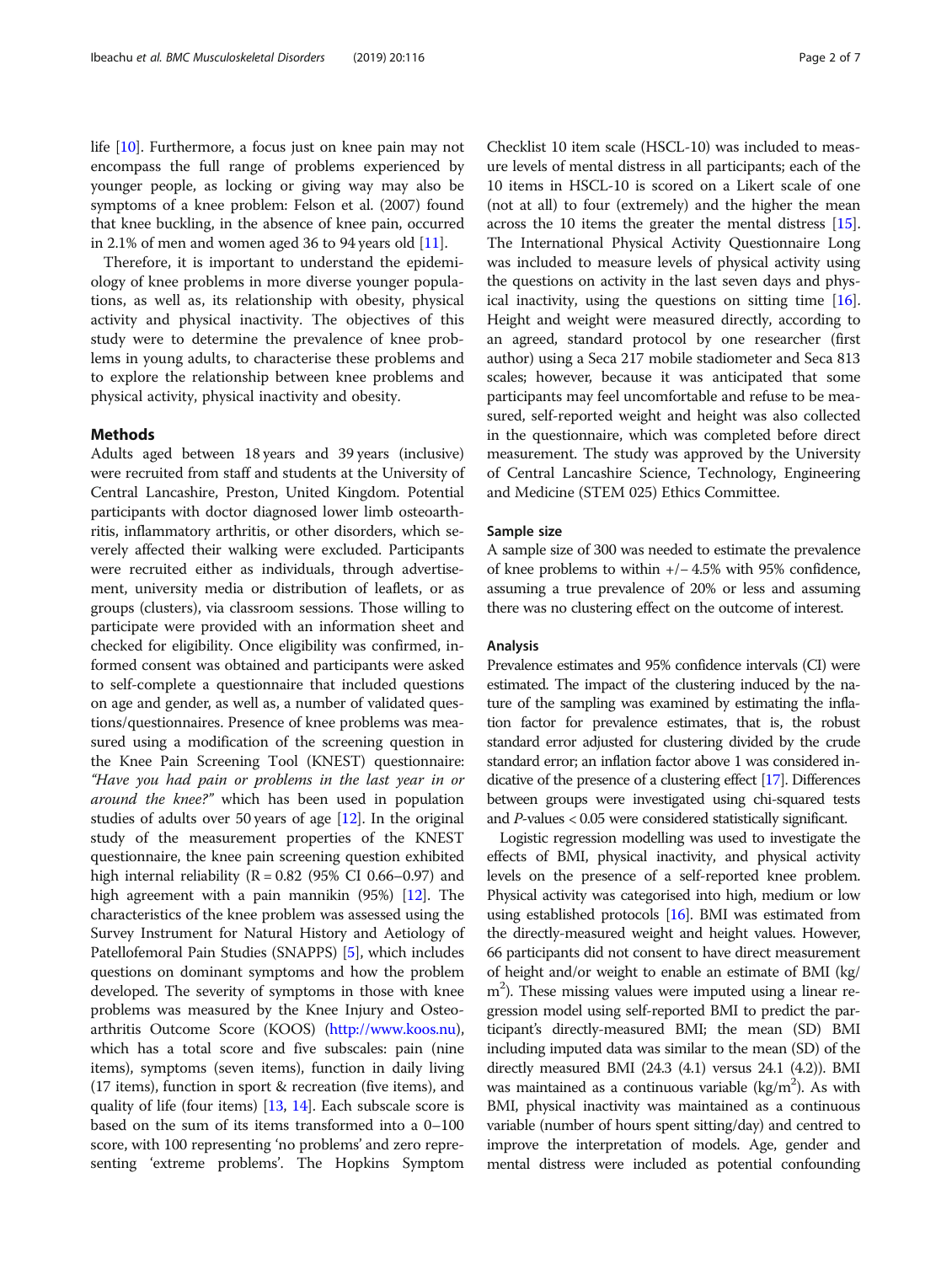life [\[10\]](#page-5-0). Furthermore, a focus just on knee pain may not encompass the full range of problems experienced by younger people, as locking or giving way may also be symptoms of a knee problem: Felson et al. (2007) found that knee buckling, in the absence of knee pain, occurred in 2.1% of men and women aged 36 to 94 years old  $[11]$  $[11]$ .

Therefore, it is important to understand the epidemiology of knee problems in more diverse younger populations, as well as, its relationship with obesity, physical activity and physical inactivity. The objectives of this study were to determine the prevalence of knee problems in young adults, to characterise these problems and to explore the relationship between knee problems and physical activity, physical inactivity and obesity.

## Methods

Adults aged between 18 years and 39 years (inclusive) were recruited from staff and students at the University of Central Lancashire, Preston, United Kingdom. Potential participants with doctor diagnosed lower limb osteoarthritis, inflammatory arthritis, or other disorders, which severely affected their walking were excluded. Participants were recruited either as individuals, through advertisement, university media or distribution of leaflets, or as groups (clusters), via classroom sessions. Those willing to participate were provided with an information sheet and checked for eligibility. Once eligibility was confirmed, informed consent was obtained and participants were asked to self-complete a questionnaire that included questions on age and gender, as well as, a number of validated questions/questionnaires. Presence of knee problems was measured using a modification of the screening question in the Knee Pain Screening Tool (KNEST) questionnaire: "Have you had pain or problems in the last year in or around the knee?" which has been used in population studies of adults over 50 years of age [[12](#page-5-0)]. In the original study of the measurement properties of the KNEST questionnaire, the knee pain screening question exhibited high internal reliability ( $R = 0.82$  (95% CI 0.66–0.97) and high agreement with a pain mannikin (95%) [[12](#page-5-0)]. The characteristics of the knee problem was assessed using the Survey Instrument for Natural History and Aetiology of Patellofemoral Pain Studies (SNAPPS) [\[5](#page-5-0)], which includes questions on dominant symptoms and how the problem developed. The severity of symptoms in those with knee problems was measured by the Knee Injury and Osteoarthritis Outcome Score (KOOS) [\(http://www.koos.nu](http://www.koos.nu)), which has a total score and five subscales: pain (nine items), symptoms (seven items), function in daily living (17 items), function in sport & recreation (five items), and quality of life (four items) [[13](#page-5-0), [14](#page-5-0)]. Each subscale score is based on the sum of its items transformed into a 0–100 score, with 100 representing 'no problems' and zero representing 'extreme problems'. The Hopkins Symptom

Checklist 10 item scale (HSCL-10) was included to measure levels of mental distress in all participants; each of the 10 items in HSCL-10 is scored on a Likert scale of one (not at all) to four (extremely) and the higher the mean across the 10 items the greater the mental distress [[15](#page-5-0)]. The International Physical Activity Questionnaire Long was included to measure levels of physical activity using the questions on activity in the last seven days and physical inactivity, using the questions on sitting time [[16](#page-5-0)]. Height and weight were measured directly, according to an agreed, standard protocol by one researcher (first author) using a Seca 217 mobile stadiometer and Seca 813 scales; however, because it was anticipated that some participants may feel uncomfortable and refuse to be measured, self-reported weight and height was also collected in the questionnaire, which was completed before direct measurement. The study was approved by the University of Central Lancashire Science, Technology, Engineering and Medicine (STEM 025) Ethics Committee.

## Sample size

A sample size of 300 was needed to estimate the prevalence of knee problems to within +/− 4.5% with 95% confidence, assuming a true prevalence of 20% or less and assuming there was no clustering effect on the outcome of interest.

## Analysis

Prevalence estimates and 95% confidence intervals (CI) were estimated. The impact of the clustering induced by the nature of the sampling was examined by estimating the inflation factor for prevalence estimates, that is, the robust standard error adjusted for clustering divided by the crude standard error; an inflation factor above 1 was considered indicative of the presence of a clustering effect [\[17](#page-5-0)]. Differences between groups were investigated using chi-squared tests and P-values < 0.05 were considered statistically significant.

Logistic regression modelling was used to investigate the effects of BMI, physical inactivity, and physical activity levels on the presence of a self-reported knee problem. Physical activity was categorised into high, medium or low using established protocols [\[16\]](#page-5-0). BMI was estimated from the directly-measured weight and height values. However, 66 participants did not consent to have direct measurement of height and/or weight to enable an estimate of BMI (kg/ m<sup>2</sup>). These missing values were imputed using a linear regression model using self-reported BMI to predict the participant's directly-measured BMI; the mean (SD) BMI including imputed data was similar to the mean (SD) of the directly measured BMI (24.3 (4.1) versus 24.1 (4.2)). BMI was maintained as a continuous variable ( $\text{kg/m}^2$ ). As with BMI, physical inactivity was maintained as a continuous variable (number of hours spent sitting/day) and centred to improve the interpretation of models. Age, gender and mental distress were included as potential confounding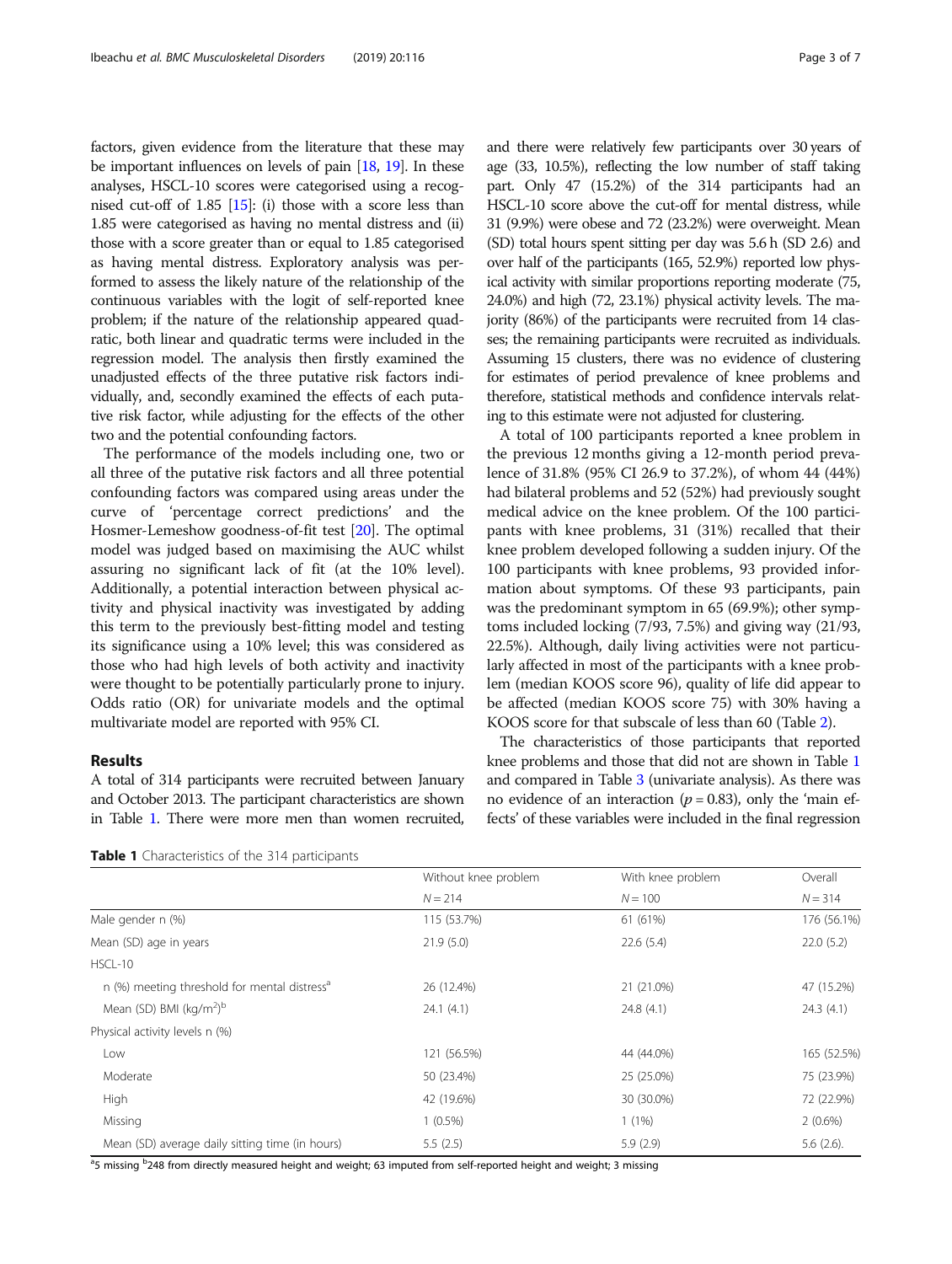<span id="page-2-0"></span>factors, given evidence from the literature that these may be important influences on levels of pain [\[18,](#page-5-0) [19](#page-5-0)]. In these analyses, HSCL-10 scores were categorised using a recognised cut-off of 1.85  $[15]$  $[15]$  $[15]$ : (i) those with a score less than 1.85 were categorised as having no mental distress and (ii) those with a score greater than or equal to 1.85 categorised as having mental distress. Exploratory analysis was performed to assess the likely nature of the relationship of the continuous variables with the logit of self-reported knee problem; if the nature of the relationship appeared quadratic, both linear and quadratic terms were included in the regression model. The analysis then firstly examined the unadjusted effects of the three putative risk factors individually, and, secondly examined the effects of each putative risk factor, while adjusting for the effects of the other two and the potential confounding factors.

The performance of the models including one, two or all three of the putative risk factors and all three potential confounding factors was compared using areas under the curve of 'percentage correct predictions' and the Hosmer-Lemeshow goodness-of-fit test [\[20](#page-5-0)]. The optimal model was judged based on maximising the AUC whilst assuring no significant lack of fit (at the 10% level). Additionally, a potential interaction between physical activity and physical inactivity was investigated by adding this term to the previously best-fitting model and testing its significance using a 10% level; this was considered as those who had high levels of both activity and inactivity were thought to be potentially particularly prone to injury. Odds ratio (OR) for univariate models and the optimal multivariate model are reported with 95% CI.

## Results

A total of 314 participants were recruited between January and October 2013. The participant characteristics are shown in Table 1. There were more men than women recruited,

Table 1 Characteristics of the 314 participants

and there were relatively few participants over 30 years of age (33, 10.5%), reflecting the low number of staff taking part. Only 47 (15.2%) of the 314 participants had an HSCL-10 score above the cut-off for mental distress, while 31 (9.9%) were obese and 72 (23.2%) were overweight. Mean (SD) total hours spent sitting per day was 5.6 h (SD 2.6) and over half of the participants (165, 52.9%) reported low physical activity with similar proportions reporting moderate (75, 24.0%) and high (72, 23.1%) physical activity levels. The majority (86%) of the participants were recruited from 14 classes; the remaining participants were recruited as individuals. Assuming 15 clusters, there was no evidence of clustering for estimates of period prevalence of knee problems and therefore, statistical methods and confidence intervals relating to this estimate were not adjusted for clustering.

A total of 100 participants reported a knee problem in the previous 12 months giving a 12-month period prevalence of 31.8% (95% CI 26.9 to 37.2%), of whom 44 (44%) had bilateral problems and 52 (52%) had previously sought medical advice on the knee problem. Of the 100 participants with knee problems, 31 (31%) recalled that their knee problem developed following a sudden injury. Of the 100 participants with knee problems, 93 provided information about symptoms. Of these 93 participants, pain was the predominant symptom in 65 (69.9%); other symptoms included locking (7/93, 7.5%) and giving way (21/93, 22.5%). Although, daily living activities were not particularly affected in most of the participants with a knee problem (median KOOS score 96), quality of life did appear to be affected (median KOOS score 75) with 30% having a KOOS score for that subscale of less than 60 (Table [2\)](#page-3-0).

The characteristics of those participants that reported knee problems and those that did not are shown in Table 1 and compared in Table [3](#page-4-0) (univariate analysis). As there was no evidence of an interaction ( $p = 0.83$ ), only the 'main effects' of these variables were included in the final regression

|                                                          | Without knee problem<br>$N = 214$ | With knee problem | Overall<br>$N = 314$ |
|----------------------------------------------------------|-----------------------------------|-------------------|----------------------|
|                                                          |                                   | $N = 100$         |                      |
| Male gender n (%)                                        | 115 (53.7%)                       | 61 (61%)          | 176 (56.1%)          |
| Mean (SD) age in years                                   | 21.9(5.0)                         | 22.6(5.4)         | 22.0(5.2)            |
| HSCL-10                                                  |                                   |                   |                      |
| n (%) meeting threshold for mental distress <sup>a</sup> | 26 (12.4%)                        | 21 (21.0%)        | 47 (15.2%)           |
| Mean (SD) BMI $(kq/m2)b$                                 | 24.1(4.1)                         | 24.8(4.1)         | 24.3(4.1)            |
| Physical activity levels n (%)                           |                                   |                   |                      |
| Low                                                      | 121 (56.5%)                       | 44 (44.0%)        | 165 (52.5%)          |
| Moderate                                                 | 50 (23.4%)                        | 25 (25.0%)        | 75 (23.9%)           |
| High                                                     | 42 (19.6%)                        | 30 (30.0%)        | 72 (22.9%)           |
| Missing                                                  | $1(0.5\%)$                        | $1(1\%)$          | $2(0.6\%)$           |
| Mean (SD) average daily sitting time (in hours)          | 5.5(2.5)                          | 5.9(2.9)          | $5.6(2.6)$ .         |

<sup>a</sup>5 missing <sup>b</sup>248 from directly measured height and weight; 63 imputed from self-reported height and weight; 3 missing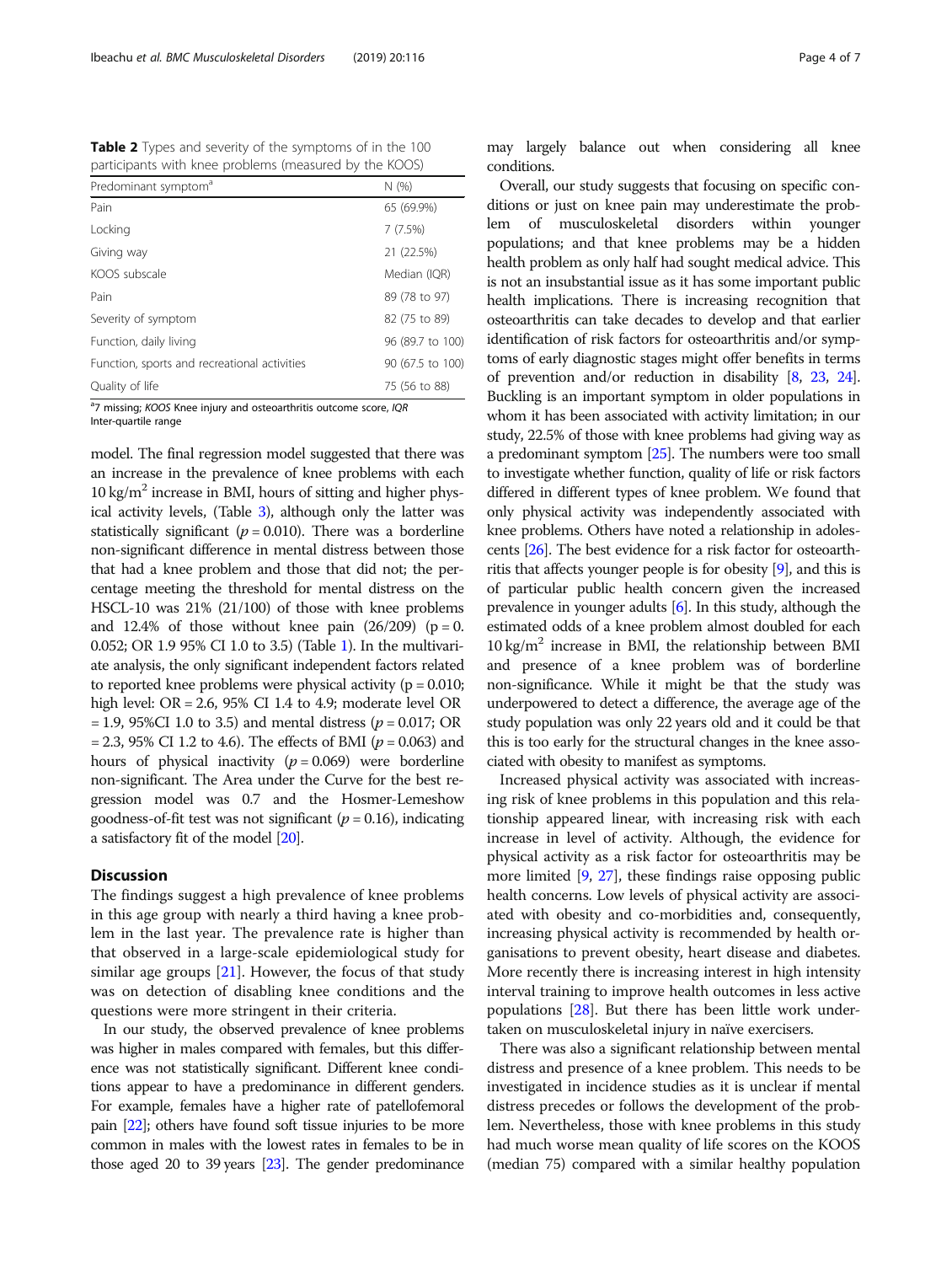<span id="page-3-0"></span>Table 2 Types and severity of the symptoms of in the 100 participants with knee problems (measured by the KOOS)

| Predominant symptom <sup>a</sup>             | N(%)             |  |
|----------------------------------------------|------------------|--|
| Pain                                         | 65 (69.9%)       |  |
| Locking                                      | 7(7.5%)          |  |
| Giving way                                   | 21 (22.5%)       |  |
| KOOS subscale                                | Median (IQR)     |  |
| Pain                                         | 89 (78 to 97)    |  |
| Severity of symptom                          | 82 (75 to 89)    |  |
| Function, daily living                       | 96 (89.7 to 100) |  |
| Function, sports and recreational activities | 90 (67.5 to 100) |  |
| Quality of life                              | 75 (56 to 88)    |  |

<sup>a</sup>7 missing; KOOS Knee injury and osteoarthritis outcome score, IQR Inter-quartile range

model. The final regression model suggested that there was an increase in the prevalence of knee problems with each  $10 \text{ kg/m}^2$  increase in BMI, hours of sitting and higher physical activity levels, (Table [3](#page-4-0)), although only the latter was statistically significant ( $p = 0.010$ ). There was a borderline non-significant difference in mental distress between those that had a knee problem and those that did not; the percentage meeting the threshold for mental distress on the HSCL-10 was 21% (21/100) of those with knee problems and 12.4% of those without knee pain  $(26/209)$  (p = 0. 0.052; OR 1.9 95% CI 1.0 to 3.5) (Table [1\)](#page-2-0). In the multivariate analysis, the only significant independent factors related to reported knee problems were physical activity ( $p = 0.010$ ; high level: OR = 2.6, 95% CI 1.4 to 4.9; moderate level OR  $= 1.9, 95\% \text{CI}$  1.0 to 3.5) and mental distress ( $p = 0.017$ ; OR  $= 2.3, 95\% \text{ CI}$  1.2 to 4.6). The effects of BMI ( $p = 0.063$ ) and hours of physical inactivity ( $p = 0.069$ ) were borderline non-significant. The Area under the Curve for the best regression model was 0.7 and the Hosmer-Lemeshow goodness-of-fit test was not significant ( $p = 0.16$ ), indicating a satisfactory fit of the model [[20](#page-5-0)].

## **Discussion**

The findings suggest a high prevalence of knee problems in this age group with nearly a third having a knee problem in the last year. The prevalence rate is higher than that observed in a large-scale epidemiological study for similar age groups  $[21]$  $[21]$ . However, the focus of that study was on detection of disabling knee conditions and the questions were more stringent in their criteria.

In our study, the observed prevalence of knee problems was higher in males compared with females, but this difference was not statistically significant. Different knee conditions appear to have a predominance in different genders. For example, females have a higher rate of patellofemoral pain [[22](#page-5-0)]; others have found soft tissue injuries to be more common in males with the lowest rates in females to be in those aged 20 to 39 years [[23\]](#page-5-0). The gender predominance may largely balance out when considering all knee conditions.

Overall, our study suggests that focusing on specific conditions or just on knee pain may underestimate the problem of musculoskeletal disorders within younger populations; and that knee problems may be a hidden health problem as only half had sought medical advice. This is not an insubstantial issue as it has some important public health implications. There is increasing recognition that osteoarthritis can take decades to develop and that earlier identification of risk factors for osteoarthritis and/or symptoms of early diagnostic stages might offer benefits in terms of prevention and/or reduction in disability [\[8,](#page-5-0) [23,](#page-5-0) [24](#page-5-0)]. Buckling is an important symptom in older populations in whom it has been associated with activity limitation; in our study, 22.5% of those with knee problems had giving way as a predominant symptom [[25](#page-5-0)]. The numbers were too small to investigate whether function, quality of life or risk factors differed in different types of knee problem. We found that only physical activity was independently associated with knee problems. Others have noted a relationship in adolescents [\[26](#page-5-0)]. The best evidence for a risk factor for osteoarthritis that affects younger people is for obesity [\[9\]](#page-5-0), and this is of particular public health concern given the increased prevalence in younger adults [\[6\]](#page-5-0). In this study, although the estimated odds of a knee problem almost doubled for each  $10 \text{ kg/m}^2$  increase in BMI, the relationship between BMI and presence of a knee problem was of borderline non-significance. While it might be that the study was underpowered to detect a difference, the average age of the study population was only 22 years old and it could be that this is too early for the structural changes in the knee associated with obesity to manifest as symptoms.

Increased physical activity was associated with increasing risk of knee problems in this population and this relationship appeared linear, with increasing risk with each increase in level of activity. Although, the evidence for physical activity as a risk factor for osteoarthritis may be more limited [[9,](#page-5-0) [27\]](#page-6-0), these findings raise opposing public health concerns. Low levels of physical activity are associated with obesity and co-morbidities and, consequently, increasing physical activity is recommended by health organisations to prevent obesity, heart disease and diabetes. More recently there is increasing interest in high intensity interval training to improve health outcomes in less active populations [\[28\]](#page-6-0). But there has been little work undertaken on musculoskeletal injury in naïve exercisers.

There was also a significant relationship between mental distress and presence of a knee problem. This needs to be investigated in incidence studies as it is unclear if mental distress precedes or follows the development of the problem. Nevertheless, those with knee problems in this study had much worse mean quality of life scores on the KOOS (median 75) compared with a similar healthy population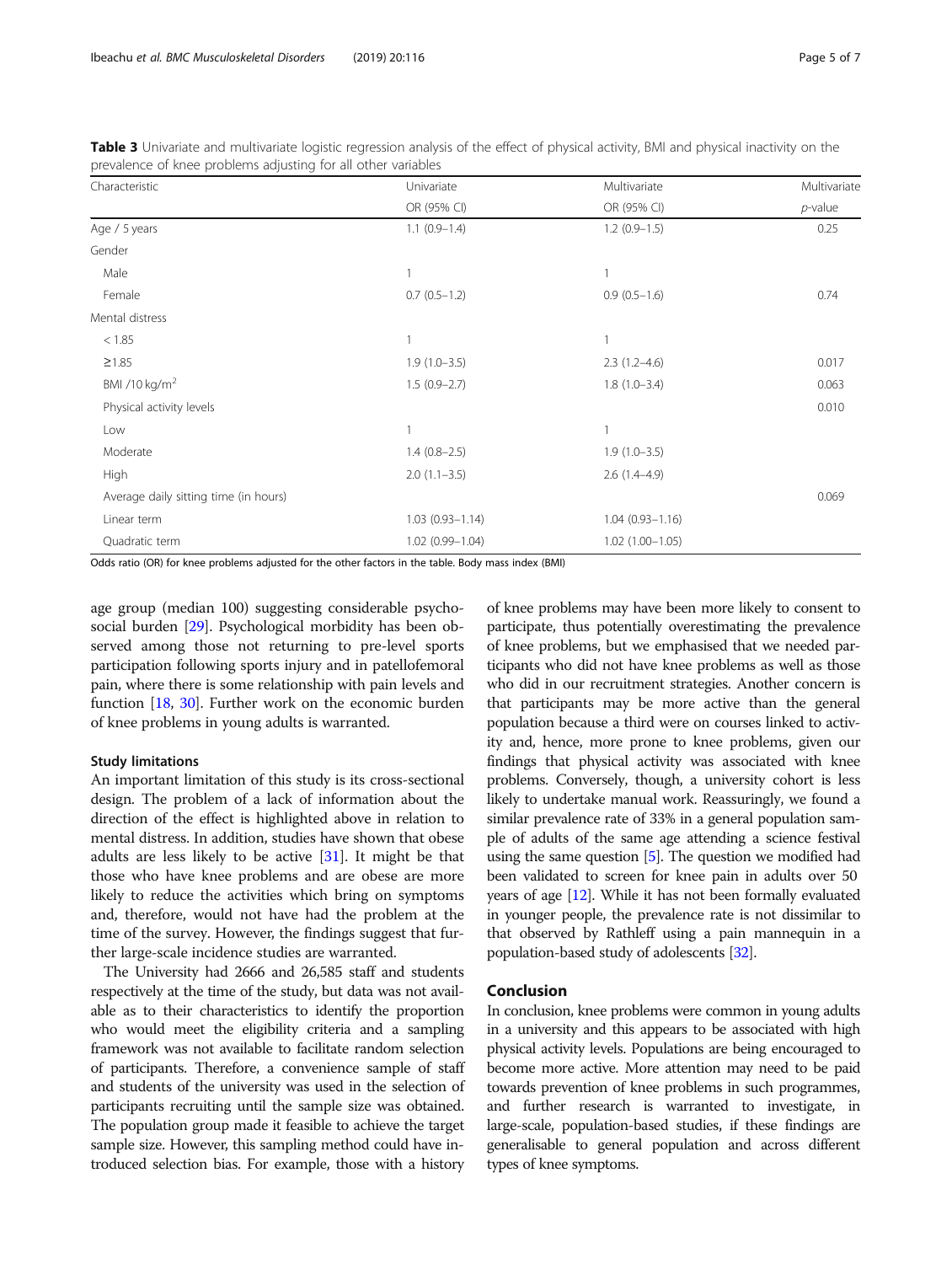<span id="page-4-0"></span>

| Table 3 Univariate and multivariate logistic regression analysis of the effect of physical activity, BMI and physical inactivity on the |  |  |
|-----------------------------------------------------------------------------------------------------------------------------------------|--|--|
| prevalence of knee problems adjusting for all other variables                                                                           |  |  |

| Characteristic                        | Univariate          | Multivariate<br>OR (95% CI) | Multivariate<br>$p$ -value |
|---------------------------------------|---------------------|-----------------------------|----------------------------|
|                                       | OR (95% CI)         |                             |                            |
| Age / 5 years                         | $1.1(0.9-1.4)$      | $1.2(0.9-1.5)$              | 0.25                       |
| Gender                                |                     |                             |                            |
| Male                                  |                     |                             |                            |
| Female                                | $0.7(0.5-1.2)$      | $0.9(0.5-1.6)$              | 0.74                       |
| Mental distress                       |                     |                             |                            |
| < 1.85                                |                     |                             |                            |
| $\geq 1.85$                           | $1.9(1.0-3.5)$      | $2.3(1.2-4.6)$              | 0.017                      |
| BMI /10 kg/m <sup>2</sup>             | $1.5(0.9-2.7)$      | $1.8(1.0-3.4)$              | 0.063                      |
| Physical activity levels              |                     |                             | 0.010                      |
| Low                                   |                     |                             |                            |
| Moderate                              | $1.4(0.8-2.5)$      | $1.9(1.0-3.5)$              |                            |
| High                                  | $2.0(1.1-3.5)$      | $2.6(1.4-4.9)$              |                            |
| Average daily sitting time (in hours) |                     |                             | 0.069                      |
| Linear term                           | $1.03(0.93 - 1.14)$ | $1.04(0.93 - 1.16)$         |                            |
| Quadratic term                        | $1.02(0.99 - 1.04)$ | $1.02(1.00 - 1.05)$         |                            |

Odds ratio (OR) for knee problems adjusted for the other factors in the table. Body mass index (BMI)

age group (median 100) suggesting considerable psychosocial burden [\[29\]](#page-6-0). Psychological morbidity has been observed among those not returning to pre-level sports participation following sports injury and in patellofemoral pain, where there is some relationship with pain levels and function [\[18,](#page-5-0) [30](#page-6-0)]. Further work on the economic burden of knee problems in young adults is warranted.

## Study limitations

An important limitation of this study is its cross-sectional design. The problem of a lack of information about the direction of the effect is highlighted above in relation to mental distress. In addition, studies have shown that obese adults are less likely to be active [[31\]](#page-6-0). It might be that those who have knee problems and are obese are more likely to reduce the activities which bring on symptoms and, therefore, would not have had the problem at the time of the survey. However, the findings suggest that further large-scale incidence studies are warranted.

The University had 2666 and 26,585 staff and students respectively at the time of the study, but data was not available as to their characteristics to identify the proportion who would meet the eligibility criteria and a sampling framework was not available to facilitate random selection of participants. Therefore, a convenience sample of staff and students of the university was used in the selection of participants recruiting until the sample size was obtained. The population group made it feasible to achieve the target sample size. However, this sampling method could have introduced selection bias. For example, those with a history

of knee problems may have been more likely to consent to participate, thus potentially overestimating the prevalence of knee problems, but we emphasised that we needed participants who did not have knee problems as well as those who did in our recruitment strategies. Another concern is that participants may be more active than the general population because a third were on courses linked to activity and, hence, more prone to knee problems, given our findings that physical activity was associated with knee problems. Conversely, though, a university cohort is less likely to undertake manual work. Reassuringly, we found a similar prevalence rate of 33% in a general population sample of adults of the same age attending a science festival using the same question [[5](#page-5-0)]. The question we modified had been validated to screen for knee pain in adults over 50 years of age [\[12](#page-5-0)]. While it has not been formally evaluated in younger people, the prevalence rate is not dissimilar to that observed by Rathleff using a pain mannequin in a population-based study of adolescents [\[32\]](#page-6-0).

## Conclusion

In conclusion, knee problems were common in young adults in a university and this appears to be associated with high physical activity levels. Populations are being encouraged to become more active. More attention may need to be paid towards prevention of knee problems in such programmes, and further research is warranted to investigate, in large-scale, population-based studies, if these findings are generalisable to general population and across different types of knee symptoms.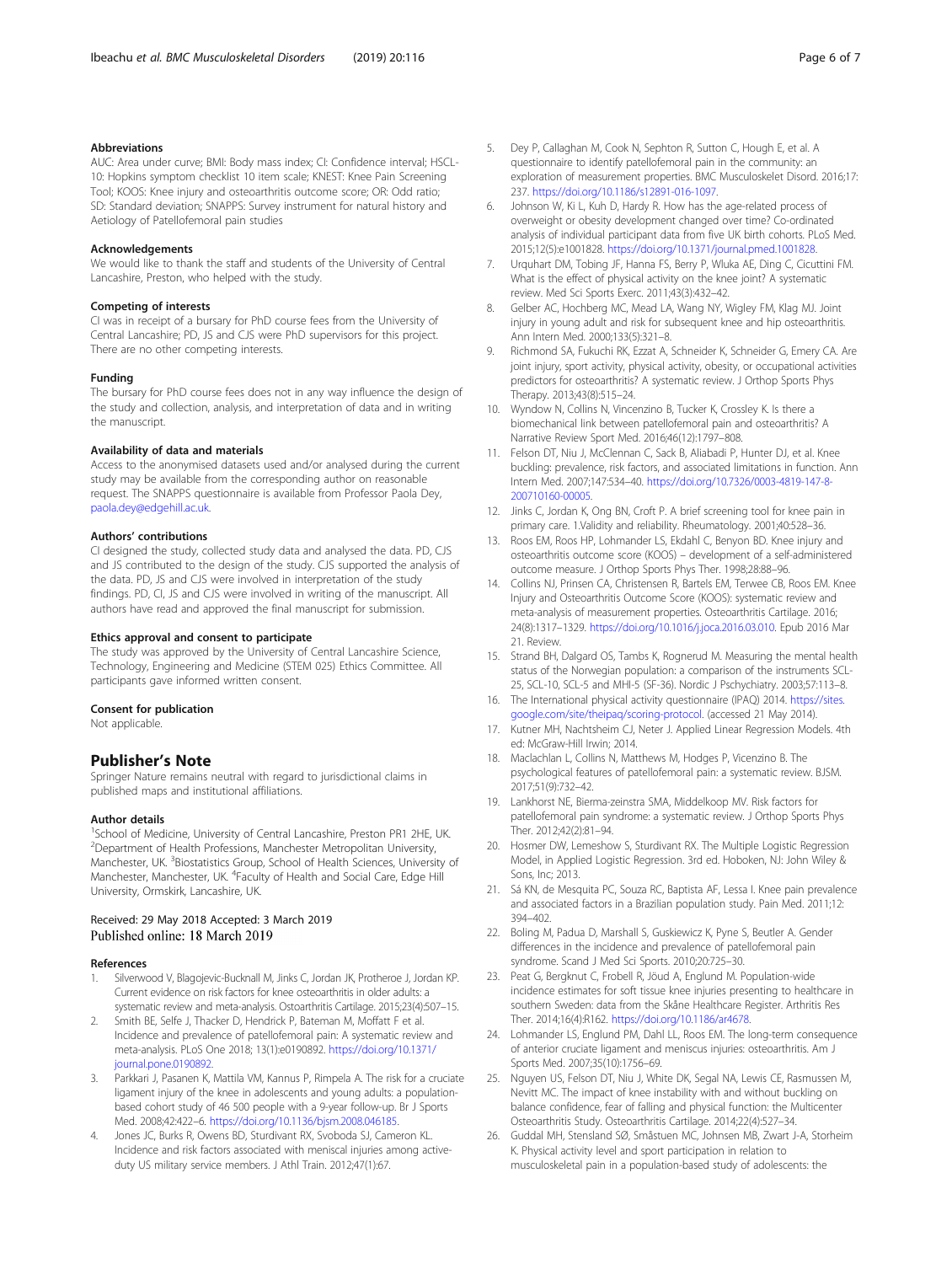## <span id="page-5-0"></span>Abbreviations

AUC: Area under curve; BMI: Body mass index; CI: Confidence interval; HSCL-10: Hopkins symptom checklist 10 item scale; KNEST: Knee Pain Screening Tool; KOOS: Knee injury and osteoarthritis outcome score; OR: Odd ratio; SD: Standard deviation; SNAPPS: Survey instrument for natural history and Aetiology of Patellofemoral pain studies

#### Acknowledgements

We would like to thank the staff and students of the University of Central Lancashire, Preston, who helped with the study.

#### Competing of interests

CI was in receipt of a bursary for PhD course fees from the University of Central Lancashire; PD, JS and CJS were PhD supervisors for this project. There are no other competing interests.

#### Funding

The bursary for PhD course fees does not in any way influence the design of the study and collection, analysis, and interpretation of data and in writing the manuscript.

#### Availability of data and materials

Access to the anonymised datasets used and/or analysed during the current study may be available from the corresponding author on reasonable request. The SNAPPS questionnaire is available from Professor Paola Dey, [paola.dey@edgehill.ac.uk.](mailto:paola.dey@edgehill.ac.uk)

#### Authors' contributions

CI designed the study, collected study data and analysed the data. PD, CJS and JS contributed to the design of the study. CJS supported the analysis of the data. PD, JS and CJS were involved in interpretation of the study findings. PD, CI, JS and CJS were involved in writing of the manuscript. All authors have read and approved the final manuscript for submission.

#### Ethics approval and consent to participate

The study was approved by the University of Central Lancashire Science, Technology, Engineering and Medicine (STEM 025) Ethics Committee. All participants gave informed written consent.

#### Consent for publication

Not applicable.

## Publisher's Note

Springer Nature remains neutral with regard to jurisdictional claims in published maps and institutional affiliations.

#### Author details

<sup>1</sup>School of Medicine, University of Central Lancashire, Preston PR1 2HE, UK. 2 Department of Health Professions, Manchester Metropolitan University, Manchester, UK. <sup>3</sup>Biostatistics Group, School of Health Sciences, University of Manchester, Manchester, UK. <sup>4</sup> Faculty of Health and Social Care, Edge Hill University, Ormskirk, Lancashire, UK.

## Received: 29 May 2018 Accepted: 3 March 2019 Published online: 18 March 2019

#### References

- 1. Silverwood V, Blagojevic-Bucknall M, Jinks C, Jordan JK, Protheroe J, Jordan KP. Current evidence on risk factors for knee osteoarthritis in older adults: a systematic review and meta-analysis. Ostoarthritis Cartilage. 2015;23(4):507–15.
- Smith BE, Selfe J, Thacker D, Hendrick P, Bateman M, Moffatt F et al. Incidence and prevalence of patellofemoral pain: A systematic review and meta-analysis. PLoS One 2018; 13(1):e0190892. [https://doi.org/10.1371/](https://doi.org/10.1371/journal.pone.0190892) [journal.pone.0190892](https://doi.org/10.1371/journal.pone.0190892).
- 3. Parkkari J, Pasanen K, Mattila VM, Kannus P, Rimpela A. The risk for a cruciate ligament injury of the knee in adolescents and young adults: a populationbased cohort study of 46 500 people with a 9-year follow-up. Br J Sports Med. 2008;42:422–6. [https://doi.org/10.1136/bjsm.2008.046185.](https://doi.org/10.1136/bjsm.2008.046185)
- Jones JC, Burks R, Owens BD, Sturdivant RX, Svoboda SJ, Cameron KL. Incidence and risk factors associated with meniscal injuries among activeduty US military service members. J Athl Train. 2012;47(1):67.
- 5. Dey P, Callaghan M, Cook N, Sephton R, Sutton C, Hough E, et al. A questionnaire to identify patellofemoral pain in the community: an exploration of measurement properties. BMC Musculoskelet Disord. 2016;17: 237. <https://doi.org/10.1186/s12891-016-1097>.
- 6. Johnson W, Ki L, Kuh D, Hardy R. How has the age-related process of overweight or obesity development changed over time? Co-ordinated analysis of individual participant data from five UK birth cohorts. PLoS Med. 2015;12(5):e1001828. <https://doi.org/10.1371/journal.pmed.1001828>.
- 7. Urquhart DM, Tobing JF, Hanna FS, Berry P, Wluka AE, Ding C, Cicuttini FM. What is the effect of physical activity on the knee joint? A systematic review. Med Sci Sports Exerc. 2011;43(3):432–42.
- Gelber AC, Hochberg MC, Mead LA, Wang NY, Wigley FM, Klag MJ, Joint injury in young adult and risk for subsequent knee and hip osteoarthritis. Ann Intern Med. 2000;133(5):321–8.
- 9. Richmond SA, Fukuchi RK, Ezzat A, Schneider K, Schneider G, Emery CA. Are joint injury, sport activity, physical activity, obesity, or occupational activities predictors for osteoarthritis? A systematic review. J Orthop Sports Phys Therapy. 2013;43(8):515–24.
- 10. Wyndow N, Collins N, Vincenzino B, Tucker K, Crossley K. Is there a biomechanical link between patellofemoral pain and osteoarthritis? A Narrative Review Sport Med. 2016;46(12):1797–808.
- 11. Felson DT, Niu J, McClennan C, Sack B, Aliabadi P, Hunter DJ, et al. Knee buckling: prevalence, risk factors, and associated limitations in function. Ann Intern Med. 2007;147:534–40. [https://doi.org/10.7326/0003-4819-147-8-](https://doi.org/10.7326/0003-4819-147-8-200710160-00005) [200710160-00005.](https://doi.org/10.7326/0003-4819-147-8-200710160-00005)
- 12. Jinks C, Jordan K, Ong BN, Croft P. A brief screening tool for knee pain in primary care. 1.Validity and reliability. Rheumatology. 2001;40:528–36.
- 13. Roos EM, Roos HP, Lohmander LS, Ekdahl C, Benyon BD. Knee injury and osteoarthritis outcome score (KOOS) – development of a self-administered outcome measure. J Orthop Sports Phys Ther. 1998;28:88–96.
- 14. Collins NJ, Prinsen CA, Christensen R, Bartels EM, Terwee CB, Roos EM. Knee Injury and Osteoarthritis Outcome Score (KOOS): systematic review and meta-analysis of measurement properties. Osteoarthritis Cartilage. 2016; 24(8):1317–1329. [https://doi.org/10.1016/j.joca.2016.03.010.](https://doi.org/10.1016/j.joca.2016.03.010) Epub 2016 Mar 21. Review.
- 15. Strand BH, Dalgard OS, Tambs K, Rognerud M. Measuring the mental health status of the Norwegian population: a comparison of the instruments SCL-25, SCL-10, SCL-5 and MHI-5 (SF-36). Nordic J Pschychiatry. 2003;57:113–8.
- 16. The International physical activity questionnaire (IPAQ) 2014. [https://sites.](https://sites.google.com/site/theipaq/scoring-protocol) [google.com/site/theipaq/scoring-protocol](https://sites.google.com/site/theipaq/scoring-protocol). (accessed 21 May 2014).
- 17. Kutner MH, Nachtsheim CJ, Neter J. Applied Linear Regression Models. 4th ed: McGraw-Hill Irwin; 2014.
- 18. Maclachlan L, Collins N, Matthews M, Hodges P, Vicenzino B. The psychological features of patellofemoral pain: a systematic review. BJSM. 2017;51(9):732–42.
- 19. Lankhorst NE, Bierma-zeinstra SMA, Middelkoop MV. Risk factors for patellofemoral pain syndrome: a systematic review. J Orthop Sports Phys Ther. 2012;42(2):81–94.
- 20. Hosmer DW, Lemeshow S, Sturdivant RX. The Multiple Logistic Regression Model, in Applied Logistic Regression. 3rd ed. Hoboken, NJ: John Wiley & Sons, Inc; 2013.
- 21. Sá KN, de Mesquita PC, Souza RC, Baptista AF, Lessa I. Knee pain prevalence and associated factors in a Brazilian population study. Pain Med. 2011;12: 394–402.
- 22. Boling M, Padua D, Marshall S, Guskiewicz K, Pyne S, Beutler A. Gender differences in the incidence and prevalence of patellofemoral pain syndrome. Scand J Med Sci Sports. 2010;20:725–30.
- 23. Peat G, Bergknut C, Frobell R, Jöud A, Englund M. Population-wide incidence estimates for soft tissue knee injuries presenting to healthcare in southern Sweden: data from the Skåne Healthcare Register. Arthritis Res Ther. 2014;16(4):R162. [https://doi.org/10.1186/ar4678.](https://doi.org/10.1186/ar4678)
- 24. Lohmander LS, Englund PM, Dahl LL, Roos EM. The long-term consequence of anterior cruciate ligament and meniscus injuries: osteoarthritis. Am J Sports Med. 2007;35(10):1756–69.
- 25. Nguyen US, Felson DT, Niu J, White DK, Segal NA, Lewis CE, Rasmussen M, Nevitt MC. The impact of knee instability with and without buckling on balance confidence, fear of falling and physical function: the Multicenter Osteoarthritis Study. Osteoarthritis Cartilage. 2014;22(4):527–34.
- 26. Guddal MH, Stensland SØ, Småstuen MC, Johnsen MB, Zwart J-A, Storheim K. Physical activity level and sport participation in relation to musculoskeletal pain in a population-based study of adolescents: the